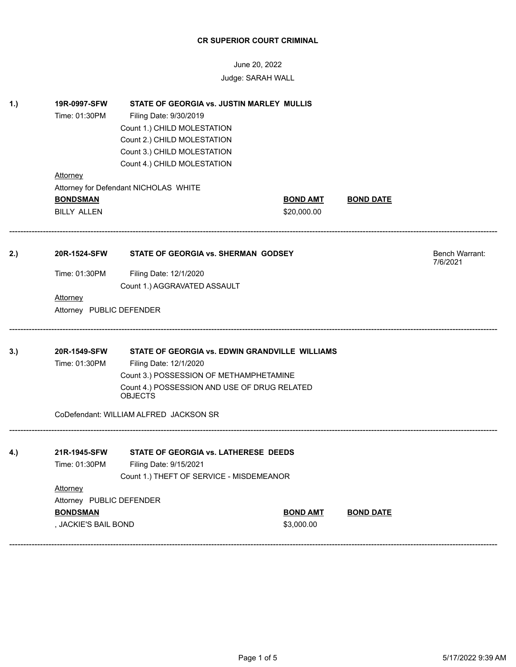# June 20, 2022 Judge: SARAH WALL

|            | 19R-0997-SFW<br>STATE OF GEORGIA vs. JUSTIN MARLEY MULLIS |                                                                                                           |                 |                  |                       |  |
|------------|-----------------------------------------------------------|-----------------------------------------------------------------------------------------------------------|-----------------|------------------|-----------------------|--|
|            | Time: 01:30PM                                             | Filing Date: 9/30/2019                                                                                    |                 |                  |                       |  |
|            |                                                           | Count 1.) CHILD MOLESTATION                                                                               |                 |                  |                       |  |
|            |                                                           | Count 2.) CHILD MOLESTATION                                                                               |                 |                  |                       |  |
|            |                                                           | Count 3.) CHILD MOLESTATION                                                                               |                 |                  |                       |  |
|            |                                                           | Count 4.) CHILD MOLESTATION                                                                               |                 |                  |                       |  |
|            | Attorney                                                  |                                                                                                           |                 |                  |                       |  |
|            |                                                           | Attorney for Defendant NICHOLAS WHITE                                                                     |                 |                  |                       |  |
|            | <b>BONDSMAN</b>                                           |                                                                                                           | <b>BOND AMT</b> | <b>BOND DATE</b> |                       |  |
|            | <b>BILLY ALLEN</b>                                        |                                                                                                           | \$20,000.00     |                  |                       |  |
| 2.)        | 20R-1524-SFW                                              | STATE OF GEORGIA vs. SHERMAN GODSEY                                                                       |                 |                  | <b>Bench Warrant:</b> |  |
|            |                                                           |                                                                                                           |                 |                  | 7/6/2021              |  |
|            | Time: 01:30PM                                             | Filing Date: 12/1/2020                                                                                    |                 |                  |                       |  |
|            |                                                           | Count 1.) AGGRAVATED ASSAULT                                                                              |                 |                  |                       |  |
|            | <b>Attorney</b>                                           |                                                                                                           |                 |                  |                       |  |
|            |                                                           |                                                                                                           |                 |                  |                       |  |
|            | Attorney PUBLIC DEFENDER                                  |                                                                                                           |                 |                  |                       |  |
|            |                                                           |                                                                                                           |                 |                  |                       |  |
|            | 20R-1549-SFW                                              | STATE OF GEORGIA vs. EDWIN GRANDVILLE WILLIAMS                                                            |                 |                  |                       |  |
|            | Time: 01:30PM                                             | Filing Date: 12/1/2020                                                                                    |                 |                  |                       |  |
|            |                                                           | Count 3.) POSSESSION OF METHAMPHETAMINE<br>Count 4.) POSSESSION AND USE OF DRUG RELATED<br><b>OBJECTS</b> |                 |                  |                       |  |
|            |                                                           | CoDefendant: WILLIAM ALFRED JACKSON SR                                                                    |                 |                  |                       |  |
|            | 21R-1945-SFW                                              | STATE OF GEORGIA vs. LATHERESE DEEDS                                                                      |                 |                  |                       |  |
|            | Time: 01:30PM                                             | Filing Date: 9/15/2021                                                                                    |                 |                  |                       |  |
|            |                                                           | Count 1.) THEFT OF SERVICE - MISDEMEANOR                                                                  |                 |                  |                       |  |
|            | <b>Attorney</b>                                           |                                                                                                           |                 |                  |                       |  |
|            | Attorney PUBLIC DEFENDER                                  |                                                                                                           |                 |                  |                       |  |
| 3.)<br>4.) | <b>BONDSMAN</b>                                           |                                                                                                           | <b>BOND AMT</b> | <b>BOND DATE</b> |                       |  |

------------------------------------------------------------------------------------------------------------------------------------------------------------------------------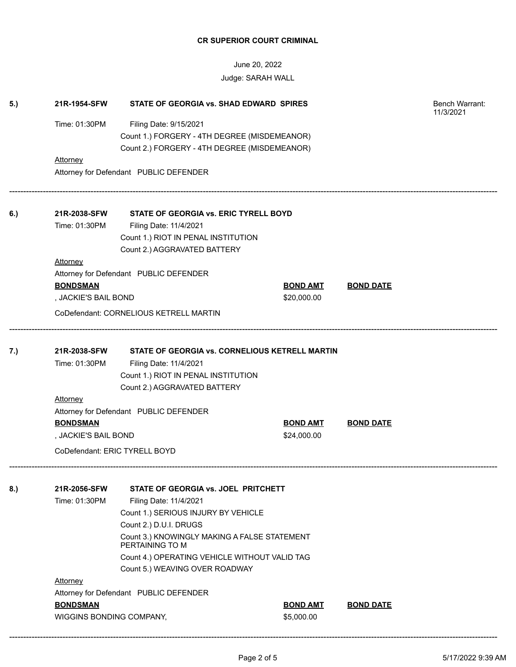June 20, 2022 Judge: SARAH WALL

| 5.) | 21R-1954-SFW                                                                                     | Bench Warrant:<br>11/3/2021                                                                                                                     |                 |                  |  |
|-----|--------------------------------------------------------------------------------------------------|-------------------------------------------------------------------------------------------------------------------------------------------------|-----------------|------------------|--|
|     | Time: 01:30PM                                                                                    |                                                                                                                                                 |                 |                  |  |
|     |                                                                                                  |                                                                                                                                                 |                 |                  |  |
|     |                                                                                                  |                                                                                                                                                 |                 |                  |  |
|     | <b>Attorney</b>                                                                                  |                                                                                                                                                 |                 |                  |  |
|     | Attorney for Defendant PUBLIC DEFENDER                                                           |                                                                                                                                                 |                 |                  |  |
| 6.) | 21R-2038-SFW                                                                                     |                                                                                                                                                 |                 |                  |  |
|     | Time: 01:30PM                                                                                    | Filing Date: 11/4/2021                                                                                                                          |                 |                  |  |
|     |                                                                                                  | Count 1.) RIOT IN PENAL INSTITUTION                                                                                                             |                 |                  |  |
|     |                                                                                                  | Count 2.) AGGRAVATED BATTERY                                                                                                                    |                 |                  |  |
|     | <b>Attorney</b>                                                                                  |                                                                                                                                                 |                 |                  |  |
|     |                                                                                                  | Attorney for Defendant PUBLIC DEFENDER                                                                                                          |                 |                  |  |
|     | <b>BONDSMAN</b>                                                                                  |                                                                                                                                                 | <b>BOND AMT</b> | <b>BOND DATE</b> |  |
|     | , JACKIE'S BAIL BOND                                                                             |                                                                                                                                                 | \$20,000.00     |                  |  |
|     |                                                                                                  | CoDefendant: CORNELIOUS KETRELL MARTIN                                                                                                          |                 |                  |  |
| 7.) | 21R-2038-SFW<br>Time: 01:30PM                                                                    | STATE OF GEORGIA vs. CORNELIOUS KETRELL MARTIN<br>Filing Date: 11/4/2021<br>Count 1.) RIOT IN PENAL INSTITUTION<br>Count 2.) AGGRAVATED BATTERY |                 |                  |  |
|     | <b>Attorney</b>                                                                                  |                                                                                                                                                 |                 |                  |  |
|     | Attorney for Defendant PUBLIC DEFENDER                                                           |                                                                                                                                                 |                 |                  |  |
|     | <b>BONDSMAN</b>                                                                                  |                                                                                                                                                 | <b>BOND AMT</b> | <b>BOND DATE</b> |  |
|     | , JACKIE'S BAIL BOND                                                                             |                                                                                                                                                 | \$24,000.00     |                  |  |
|     | CoDefendant: ERIC TYRELL BOYD                                                                    |                                                                                                                                                 |                 |                  |  |
| 8.) | 21R-2056-SFW                                                                                     | STATE OF GEORGIA vs. JOEL PRITCHETT                                                                                                             |                 |                  |  |
|     | Time: 01:30PM                                                                                    | Filing Date: 11/4/2021                                                                                                                          |                 |                  |  |
|     |                                                                                                  | Count 1.) SERIOUS INJURY BY VEHICLE                                                                                                             |                 |                  |  |
|     |                                                                                                  |                                                                                                                                                 |                 |                  |  |
|     |                                                                                                  |                                                                                                                                                 |                 |                  |  |
|     |                                                                                                  |                                                                                                                                                 |                 |                  |  |
|     |                                                                                                  |                                                                                                                                                 |                 |                  |  |
|     | <b>Attorney</b>                                                                                  | Count 5.) WEAVING OVER ROADWAY                                                                                                                  |                 |                  |  |
|     |                                                                                                  |                                                                                                                                                 |                 |                  |  |
|     | Attorney for Defendant PUBLIC DEFENDER<br><b>BONDSMAN</b><br><b>BOND AMT</b><br><b>BOND DATE</b> |                                                                                                                                                 |                 |                  |  |
|     | WIGGINS BONDING COMPANY,                                                                         |                                                                                                                                                 | \$5,000.00      |                  |  |
|     |                                                                                                  |                                                                                                                                                 |                 |                  |  |

------------------------------------------------------------------------------------------------------------------------------------------------------------------------------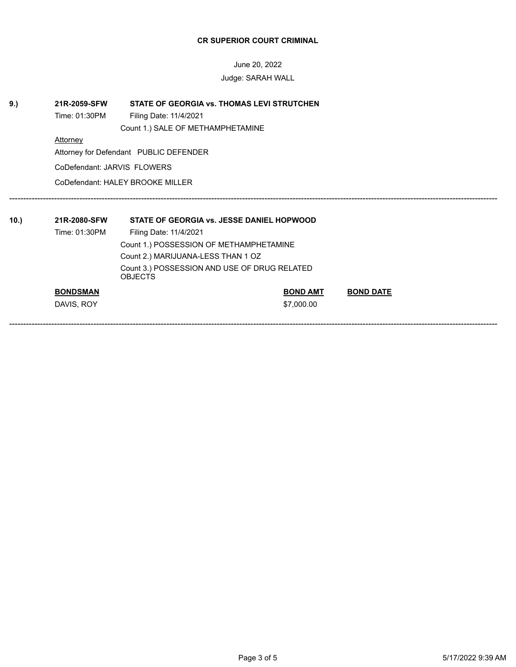June 20, 2022 Judge: SARAH WALL

| 9.) | 21R-2059-SFW<br>Time: 01:30PM                                  | <b>STATE OF GEORGIA vs. THOMAS LEVI STRUTCHEN</b><br>Filing Date: 11/4/2021<br>Count 1.) SALE OF METHAMPHETAMINE |                 |                  |  |  |
|-----|----------------------------------------------------------------|------------------------------------------------------------------------------------------------------------------|-----------------|------------------|--|--|
|     | <b>Attorney</b><br>Attorney for Defendant PUBLIC DEFENDER      |                                                                                                                  |                 |                  |  |  |
|     | CoDefendant: JARVIS FLOWERS                                    |                                                                                                                  |                 |                  |  |  |
|     | CoDefendant: HALEY BROOKE MILLER                               |                                                                                                                  |                 |                  |  |  |
|     |                                                                |                                                                                                                  |                 |                  |  |  |
| 10. | 21R-2080-SFW                                                   | STATE OF GEORGIA vs. JESSE DANIEL HOPWOOD                                                                        |                 |                  |  |  |
|     | Time: 01:30PM                                                  | Filing Date: 11/4/2021                                                                                           |                 |                  |  |  |
|     | Count 1.) POSSESSION OF METHAMPHETAMINE                        |                                                                                                                  |                 |                  |  |  |
|     |                                                                | Count 2.) MARIJUANA-LESS THAN 1 OZ                                                                               |                 |                  |  |  |
|     | Count 3.) POSSESSION AND USE OF DRUG RELATED<br><b>OBJECTS</b> |                                                                                                                  |                 |                  |  |  |
|     | <b>BONDSMAN</b>                                                |                                                                                                                  | <b>BOND AMT</b> | <b>BOND DATE</b> |  |  |
|     | DAVIS, ROY                                                     |                                                                                                                  | \$7,000.00      |                  |  |  |

------------------------------------------------------------------------------------------------------------------------------------------------------------------------------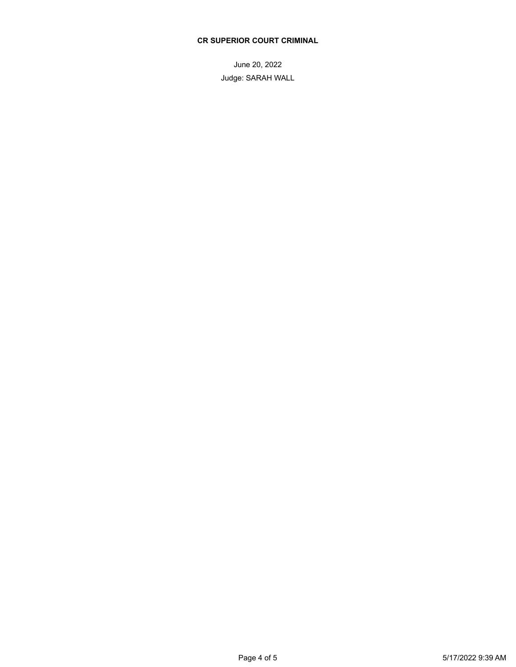June 20, 2022 Judge: SARAH WALL